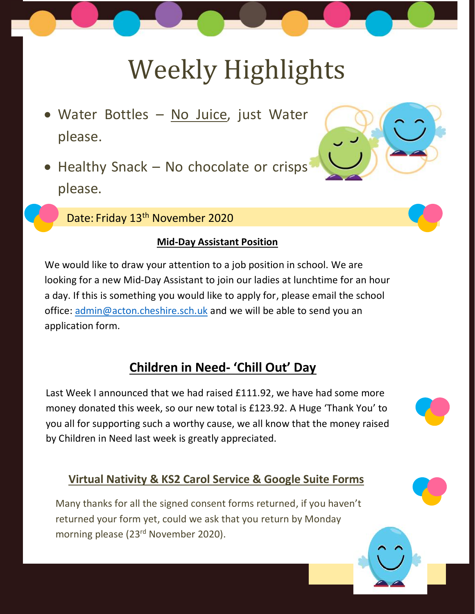# Weekly Highlights

- Water Bottles No Juice, just Water please.
- Healthy Snack No chocolate or crisps please.

Date: Friday 13<sup>th</sup> November 2020

#### **Mid-Day Assistant Position**

We would like to draw your attention to a job position in school. We are looking for a new Mid-Day Assistant to join our ladies at lunchtime for an hour a day. If this is something you would like to apply for, please email the school office: [admin@acton.cheshire.sch.uk](mailto:admin@acton.cheshire.sch.uk) and we will be able to send you an application form.

## **Children in Need- 'Chill Out' Day**

Last Week I announced that we had raised £111.92, we have had some more money donated this week, so our new total is £123.92. A Huge 'Thank You' to you all for supporting such a worthy cause, we all know that the money raised by Children in Need last week is greatly appreciated.

### **Virtual Nativity & KS2 Carol Service & Google Suite Forms**

Many thanks for all the signed consent forms returned, if you haven't returned your form yet, could we ask that you return by Monday morning please (23rd November 2020).